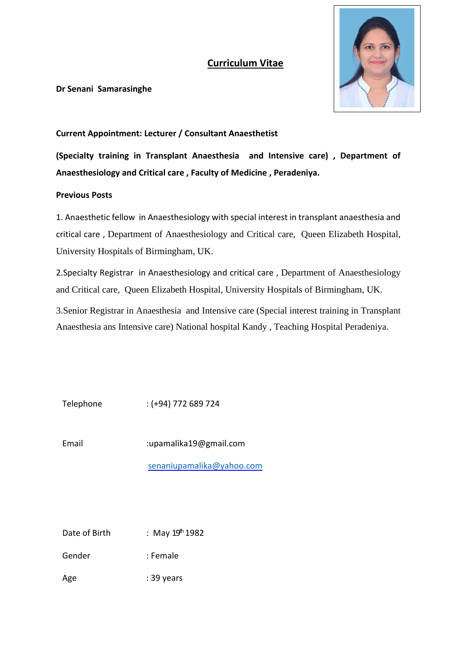## **Curriculum Vitae**



**Dr Senani Samarasinghe**

### **Current Appointment: Lecturer / Consultant Anaesthetist**

**(Specialty training in Transplant Anaesthesia and Intensive care) , Department of Anaesthesiology and Critical care , Faculty of Medicine , Peradeniya.**

### **Previous Posts**

1. Anaesthetic fellow in Anaesthesiology with special interest in transplant anaesthesia and critical care , Department of Anaesthesiology and Critical care, Queen Elizabeth Hospital, University Hospitals of Birmingham, UK.

2.Specialty Registrar in Anaesthesiology and critical care , Department of Anaesthesiology and Critical care, Queen Elizabeth Hospital, University Hospitals of Birmingham, UK.

3.Senior Registrar in Anaesthesia and Intensive care (Special interest training in Transplant Anaesthesia ans Intensive care) National hospital Kandy , Teaching Hospital Peradeniya.

Telephone : (+94) 772 689 724

Email :upamalika19@gmail.com

[senaniupamalika@yahoo.com](mailto:senaniupamalika@yahoo.com)

Date of Birth : May  $19<sup>th</sup> 1982$ 

Gender : Female

Age : 39 years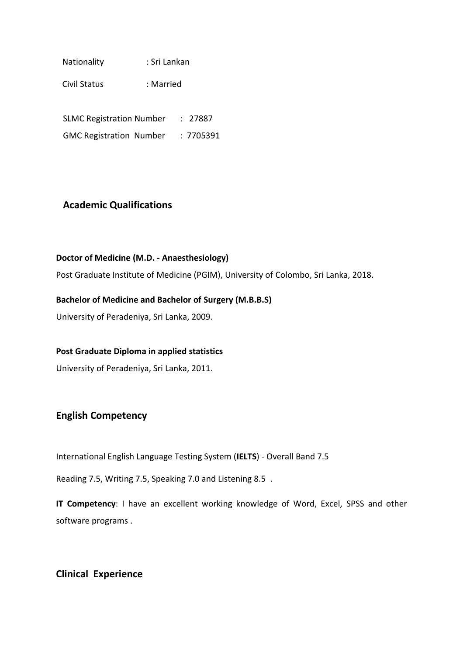Nationality : Sri Lankan

Civil Status : Married

SLMC Registration Number : 27887

GMC Registration Number : 7705391

## **Academic Qualifications**

### **Doctor of Medicine (M.D. - Anaesthesiology)**

Post Graduate Institute of Medicine (PGIM), University of Colombo, Sri Lanka, 2018.

### **Bachelor of Medicine and Bachelor of Surgery (M.B.B.S)**

University of Peradeniya, Sri Lanka, 2009.

### **Post Graduate Diploma in applied statistics**

University of Peradeniya, Sri Lanka, 2011.

### **English Competency**

International English Language Testing System (**IELTS**) - Overall Band 7.5

Reading 7.5, Writing 7.5, Speaking 7.0 and Listening 8.5 .

**IT Competency**: I have an excellent working knowledge of Word, Excel, SPSS and other software programs .

### **Clinical Experience**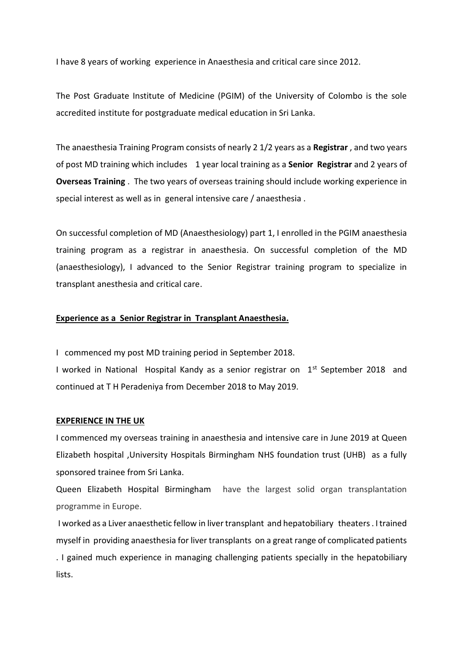I have 8 years of working experience in Anaesthesia and critical care since 2012.

The Post Graduate Institute of Medicine (PGIM) of the University of Colombo is the sole accredited institute for postgraduate medical education in Sri Lanka.

The anaesthesia Training Program consists of nearly 2 1/2 years as a **Registrar** , and two years of post MD training which includes 1 year local training as a **Senior Registrar** and 2 years of **Overseas Training** . The two years of overseas training should include working experience in special interest as well as in general intensive care / anaesthesia .

On successful completion of MD (Anaesthesiology) part 1, I enrolled in the PGIM anaesthesia training program as a registrar in anaesthesia. On successful completion of the MD (anaesthesiology), I advanced to the Senior Registrar training program to specialize in transplant anesthesia and critical care.

### **Experience as a Senior Registrar in Transplant Anaesthesia.**

I commenced my post MD training period in September 2018.

I worked in National Hospital Kandy as a senior registrar on 1<sup>st</sup> September 2018 and continued at T H Peradeniya from December 2018 to May 2019.

#### **EXPERIENCE IN THE UK**

I commenced my overseas training in anaesthesia and intensive care in June 2019 at Queen Elizabeth hospital ,University Hospitals Birmingham NHS foundation trust (UHB) as a fully sponsored trainee from Sri Lanka.

Queen Elizabeth Hospital Birmingham have the largest solid organ transplantation programme in Europe.

I worked as a Liver anaesthetic fellow in liver transplant and hepatobiliary theaters . I trained myself in providing anaesthesia for liver transplants on a great range of complicated patients . I gained much experience in managing challenging patients specially in the hepatobiliary lists.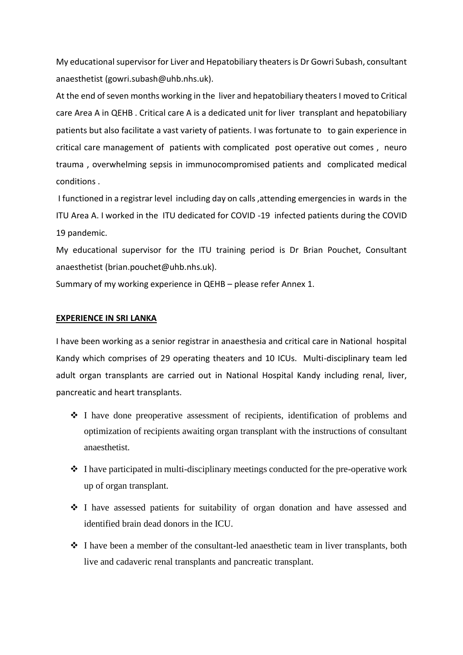My educational supervisor for Liver and Hepatobiliary theaters is Dr Gowri Subash, consultant anaesthetist (gowri.subash@uhb.nhs.uk).

At the end of seven months working in the liver and hepatobiliary theaters I moved to Critical care Area A in QEHB . Critical care A is a dedicated unit for liver transplant and hepatobiliary patients but also facilitate a vast variety of patients. I was fortunate to to gain experience in critical care management of patients with complicated post operative out comes , neuro trauma , overwhelming sepsis in immunocompromised patients and complicated medical conditions .

I functioned in a registrar level including day on calls ,attending emergencies in wards in the ITU Area A. I worked in the ITU dedicated for COVID -19 infected patients during the COVID 19 pandemic.

My educational supervisor for the ITU training period is Dr Brian Pouchet, Consultant anaesthetist (brian.pouchet@uhb.nhs.uk).

Summary of my working experience in QEHB – please refer Annex 1.

### **EXPERIENCE IN SRI LANKA**

I have been working as a senior registrar in anaesthesia and critical care in National hospital Kandy which comprises of 29 operating theaters and 10 ICUs. Multi-disciplinary team led adult organ transplants are carried out in National Hospital Kandy including renal, liver, pancreatic and heart transplants.

- ❖ I have done preoperative assessment of recipients, identification of problems and optimization of recipients awaiting organ transplant with the instructions of consultant anaesthetist.
- ❖ I have participated in multi-disciplinary meetings conducted for the pre-operative work up of organ transplant.
- ❖ I have assessed patients for suitability of organ donation and have assessed and identified brain dead donors in the ICU.
- ❖ I have been a member of the consultant-led anaesthetic team in liver transplants, both live and cadaveric renal transplants and pancreatic transplant.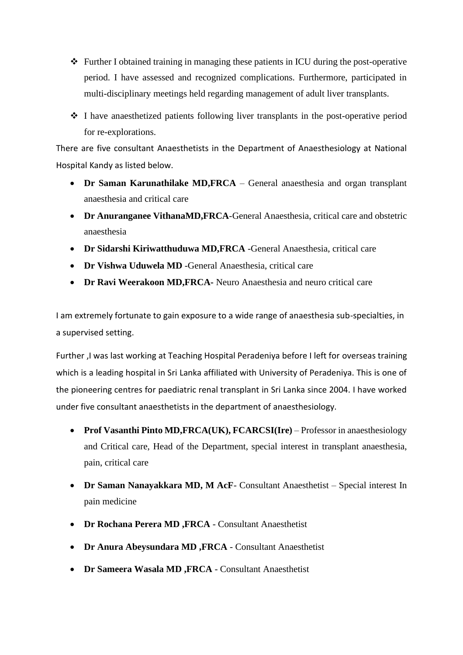- ❖ Further I obtained training in managing these patients in ICU during the post-operative period. I have assessed and recognized complications. Furthermore, participated in multi-disciplinary meetings held regarding management of adult liver transplants.
- ❖ I have anaesthetized patients following liver transplants in the post-operative period for re-explorations.

There are five consultant Anaesthetists in the Department of Anaesthesiology at National Hospital Kandy as listed below.

- **Dr Saman Karunathilake MD,FRCA** General anaesthesia and organ transplant anaesthesia and critical care
- **Dr Anuranganee VithanaMD,FRCA**-General Anaesthesia, critical care and obstetric anaesthesia
- **Dr Sidarshi Kiriwatthuduwa MD,FRCA** -General Anaesthesia, critical care
- **Dr Vishwa Uduwela MD** -General Anaesthesia, critical care
- **Dr Ravi Weerakoon MD,FRCA-** Neuro Anaesthesia and neuro critical care

I am extremely fortunate to gain exposure to a wide range of anaesthesia sub-specialties, in a supervised setting.

Further ,I was last working at Teaching Hospital Peradeniya before I left for overseas training which is a leading hospital in Sri Lanka affiliated with University of Peradeniya. This is one of the pioneering centres for paediatric renal transplant in Sri Lanka since 2004. I have worked under five consultant anaesthetists in the department of anaesthesiology.

- **Prof Vasanthi Pinto MD,FRCA(UK), FCARCSI(Ire)** Professor in anaesthesiology and Critical care, Head of the Department, special interest in transplant anaesthesia, pain, critical care
- **Dr Saman Nanayakkara MD, M AcF** Consultant Anaesthetist Special interest In pain medicine
- **Dr Rochana Perera MD ,FRCA** Consultant Anaesthetist
- **Dr Anura Abeysundara MD ,FRCA** Consultant Anaesthetist
- **Dr Sameera Wasala MD ,FRCA** Consultant Anaesthetist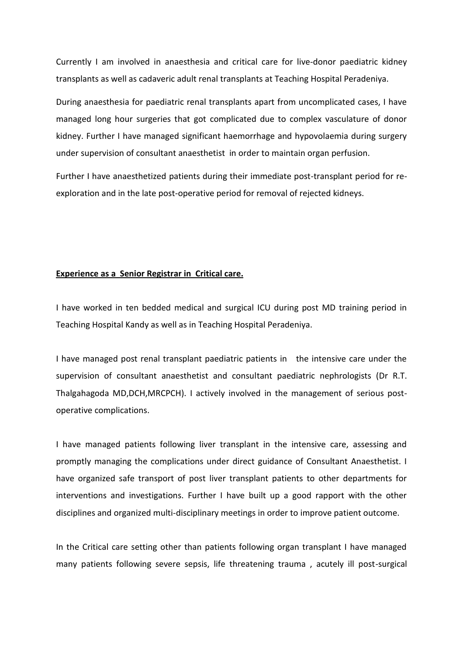Currently I am involved in anaesthesia and critical care for live-donor paediatric kidney transplants as well as cadaveric adult renal transplants at Teaching Hospital Peradeniya.

During anaesthesia for paediatric renal transplants apart from uncomplicated cases, I have managed long hour surgeries that got complicated due to complex vasculature of donor kidney. Further I have managed significant haemorrhage and hypovolaemia during surgery under supervision of consultant anaesthetist in order to maintain organ perfusion.

Further I have anaesthetized patients during their immediate post-transplant period for reexploration and in the late post-operative period for removal of rejected kidneys.

#### **Experience as a Senior Registrar in Critical care.**

I have worked in ten bedded medical and surgical ICU during post MD training period in Teaching Hospital Kandy as well as in Teaching Hospital Peradeniya.

I have managed post renal transplant paediatric patients in the intensive care under the supervision of consultant anaesthetist and consultant paediatric nephrologists (Dr R.T. Thalgahagoda MD,DCH,MRCPCH). I actively involved in the management of serious postoperative complications.

I have managed patients following liver transplant in the intensive care, assessing and promptly managing the complications under direct guidance of Consultant Anaesthetist. I have organized safe transport of post liver transplant patients to other departments for interventions and investigations. Further I have built up a good rapport with the other disciplines and organized multi-disciplinary meetings in order to improve patient outcome.

In the Critical care setting other than patients following organ transplant I have managed many patients following severe sepsis, life threatening trauma , acutely ill post-surgical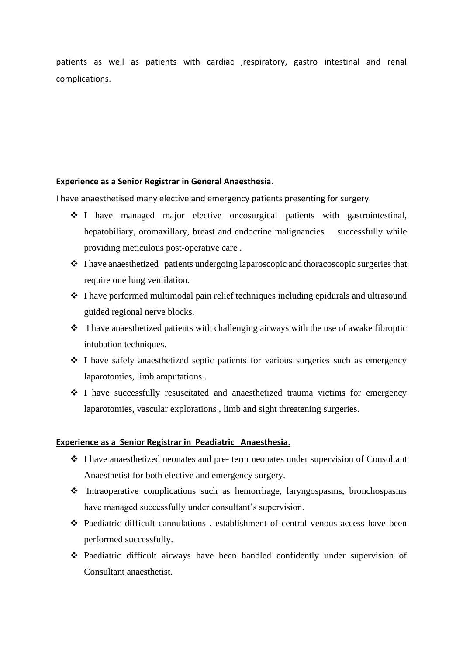patients as well as patients with cardiac ,respiratory, gastro intestinal and renal complications.

### **Experience as a Senior Registrar in General Anaesthesia.**

I have anaesthetised many elective and emergency patients presenting for surgery.

- ❖ I have managed major elective oncosurgical patients with gastrointestinal, hepatobiliary, oromaxillary, breast and endocrine malignancies successfully while providing meticulous post-operative care .
- ❖ I have anaesthetized patients undergoing laparoscopic and thoracoscopic surgeries that require one lung ventilation.
- ❖ I have performed multimodal pain relief techniques including epidurals and ultrasound guided regional nerve blocks.
- ❖ I have anaesthetized patients with challenging airways with the use of awake fibroptic intubation techniques.
- ❖ I have safely anaesthetized septic patients for various surgeries such as emergency laparotomies, limb amputations .
- ❖ I have successfully resuscitated and anaesthetized trauma victims for emergency laparotomies, vascular explorations , limb and sight threatening surgeries.

### **Experience as a Senior Registrar in Peadiatric Anaesthesia.**

- ❖ I have anaesthetized neonates and pre- term neonates under supervision of Consultant Anaesthetist for both elective and emergency surgery.
- ❖ Intraoperative complications such as hemorrhage, laryngospasms, bronchospasms have managed successfully under consultant's supervision.
- ❖ Paediatric difficult cannulations , establishment of central venous access have been performed successfully.
- ❖ Paediatric difficult airways have been handled confidently under supervision of Consultant anaesthetist.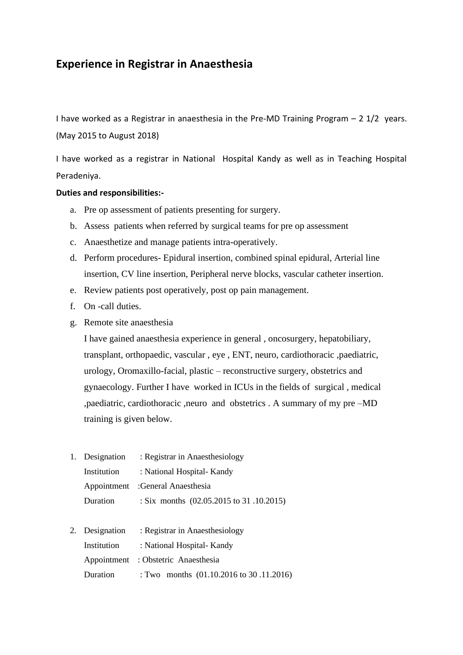# **Experience in Registrar in Anaesthesia**

I have worked as a Registrar in anaesthesia in the Pre-MD Training Program – 2 1/2 years. (May 2015 to August 2018)

I have worked as a registrar in National Hospital Kandy as well as in Teaching Hospital Peradeniya.

### **Duties and responsibilities:-**

- a. Pre op assessment of patients presenting for surgery.
- b. Assess patients when referred by surgical teams for pre op assessment
- c. Anaesthetize and manage patients intra-operatively.
- d. Perform procedures- Epidural insertion, combined spinal epidural, Arterial line insertion, CV line insertion, Peripheral nerve blocks, vascular catheter insertion.
- e. Review patients post operatively, post op pain management.
- f. On -call duties.
- g. Remote site anaesthesia

I have gained anaesthesia experience in general , oncosurgery, hepatobiliary, transplant, orthopaedic, vascular , eye , ENT, neuro, cardiothoracic ,paediatric, urology, Oromaxillo-facial, plastic – reconstructive surgery, obstetrics and gynaecology. Further I have worked in ICUs in the fields of surgical , medical ,paediatric, cardiothoracic ,neuro and obstetrics . A summary of my pre –MD training is given below.

- 1. Designation : Registrar in Anaesthesiology Institution : National Hospital- Kandy Appointment :General Anaesthesia Duration : Six months (02.05.2015 to 31 .10.2015)
- 2. Designation : Registrar in Anaesthesiology Institution : National Hospital- Kandy Appointment : Obstetric Anaesthesia Duration : Two months (01.10.2016 to 30 .11.2016)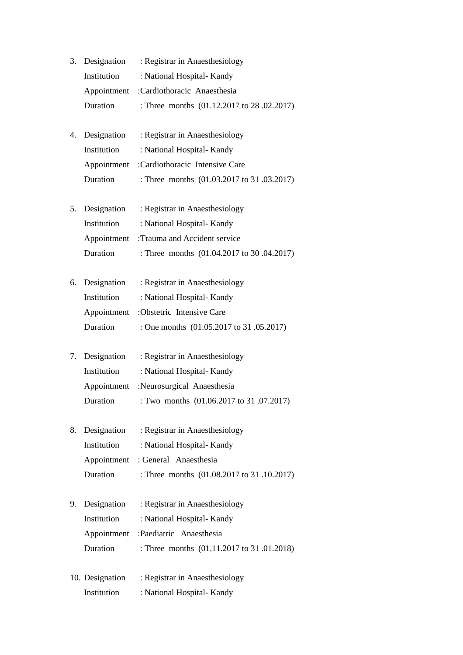- 3. Designation : Registrar in Anaesthesiology Institution : National Hospital- Kandy Appointment :Cardiothoracic Anaesthesia Duration : Three months (01.12.2017 to 28 .02.2017)
- 4. Designation : Registrar in Anaesthesiology Institution : National Hospital- Kandy Appointment :Cardiothoracic Intensive Care Duration : Three months (01.03.2017 to 31 .03.2017)
- 5. Designation : Registrar in Anaesthesiology Institution : National Hospital- Kandy Appointment :Trauma and Accident service Duration : Three months (01.04.2017 to 30 .04.2017)
- 6. Designation : Registrar in Anaesthesiology Institution : National Hospital- Kandy Appointment :Obstetric Intensive Care Duration : One months (01.05.2017 to 31 .05.2017)
- 7. Designation : Registrar in Anaesthesiology Institution : National Hospital- Kandy Appointment :Neurosurgical Anaesthesia Duration : Two months (01.06.2017 to 31 .07.2017)
- 8. Designation : Registrar in Anaesthesiology Institution : National Hospital- Kandy Appointment : General Anaesthesia Duration : Three months (01.08.2017 to 31 .10.2017)
- 9. Designation : Registrar in Anaesthesiology Institution : National Hospital- Kandy Appointment :Paediatric Anaesthesia Duration : Three months (01.11.2017 to 31 .01.2018)
- 10. Designation : Registrar in Anaesthesiology Institution : National Hospital- Kandy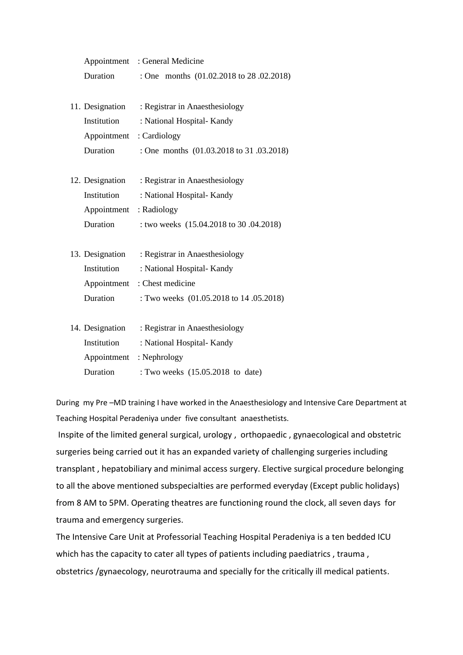|                          | Appointment : General Medicine          |
|--------------------------|-----------------------------------------|
| Duration                 | : One months (01.02.2018 to 28.02.2018) |
|                          |                                         |
| 11. Designation          | : Registrar in Anaesthesiology          |
| Institution              | : National Hospital-Kandy               |
| Appointment : Cardiology |                                         |
| Duration                 | : One months (01.03.2018 to 31.03.2018) |
|                          |                                         |
| 12. Designation          | : Registrar in Anaesthesiology          |
| Institution              | : National Hospital-Kandy               |
| Appointment : Radiology  |                                         |
| Duration                 | : two weeks (15.04.2018 to 30 .04.2018) |
|                          |                                         |
| 13. Designation          | : Registrar in Anaesthesiology          |
| Institution              | : National Hospital-Kandy               |
| Appointment              | : Chest medicine                        |
| Duration                 | : Two weeks (01.05.2018 to 14 .05.2018) |
|                          |                                         |
| 14. Designation          | : Registrar in Anaesthesiology          |
| Institution              | : National Hospital-Kandy               |
| Appointment              | : Nephrology                            |

Duration : Two weeks (15.05.2018 to date)

During my Pre –MD training I have worked in the Anaesthesiology and Intensive Care Department at Teaching Hospital Peradeniya under five consultant anaesthetists.

Inspite of the limited general surgical, urology , orthopaedic , gynaecological and obstetric surgeries being carried out it has an expanded variety of challenging surgeries including transplant , hepatobiliary and minimal access surgery. Elective surgical procedure belonging to all the above mentioned subspecialties are performed everyday (Except public holidays) from 8 AM to 5PM. Operating theatres are functioning round the clock, all seven days for trauma and emergency surgeries.

The Intensive Care Unit at Professorial Teaching Hospital Peradeniya is a ten bedded ICU which has the capacity to cater all types of patients including paediatrics, trauma, obstetrics /gynaecology, neurotrauma and specially for the critically ill medical patients.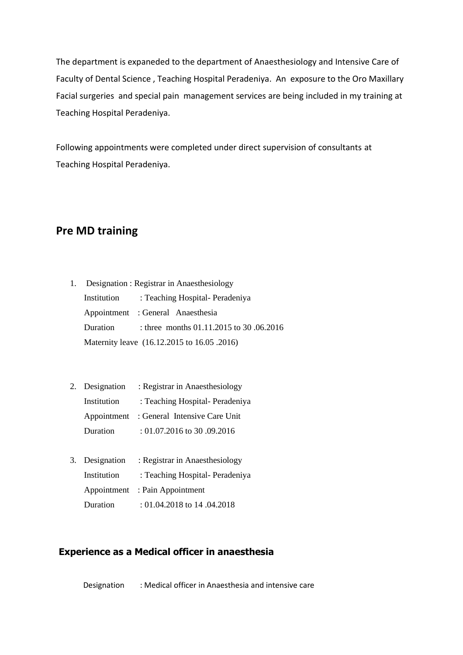The department is expaneded to the department of Anaesthesiology and Intensive Care of Faculty of Dental Science , Teaching Hospital Peradeniya. An exposure to the Oro Maxillary Facial surgeries and special pain management services are being included in my training at Teaching Hospital Peradeniya.

Following appointments were completed under direct supervision of consultants at Teaching Hospital Peradeniya.

# **Pre MD training**

- 1. Designation : Registrar in Anaesthesiology Institution : Teaching Hospital- Peradeniya Appointment : General Anaesthesia Duration : three months 01.11.2015 to 30 .06.2016 Maternity leave (16.12.2015 to 16.05 .2016)
- 2. Designation : Registrar in Anaesthesiology Institution : Teaching Hospital- Peradeniya Appointment : General Intensive Care Unit Duration : 01.07.2016 to 30 .09.2016
- 3. Designation : Registrar in Anaesthesiology Institution : Teaching Hospital- Peradeniya Appointment : Pain Appointment Duration : 01.04.2018 to 14 .04.2018

### **Experience as a Medical officer in anaesthesia**

Designation : Medical officer in Anaesthesia and intensive care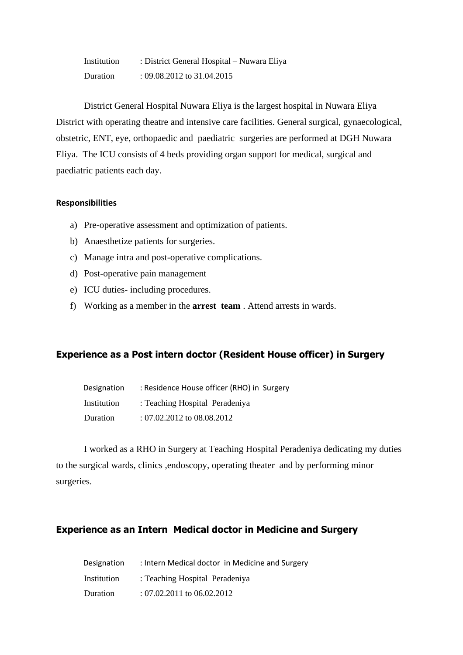| Institution | : District General Hospital – Nuwara Eliya |
|-------------|--------------------------------------------|
| Duration    | : 09.08.2012 to 31.04.2015                 |

District General Hospital Nuwara Eliya is the largest hospital in Nuwara Eliya District with operating theatre and intensive care facilities. General surgical, gynaecological, obstetric, ENT, eye, orthopaedic and paediatric surgeries are performed at DGH Nuwara Eliya. The ICU consists of 4 beds providing organ support for medical, surgical and paediatric patients each day.

### **Responsibilities**

- a) Pre-operative assessment and optimization of patients.
- b) Anaesthetize patients for surgeries.
- c) Manage intra and post-operative complications.
- d) Post-operative pain management
- e) ICU duties- including procedures.
- f) Working as a member in the **arrest team** . Attend arrests in wards.

### **Experience as a Post intern doctor (Resident House officer) in Surgery**

| Designation | : Residence House officer (RHO) in Surgery |
|-------------|--------------------------------------------|
| Institution | : Teaching Hospital Peradeniya             |
| Duration    | : 07.02.2012 to 08.08.2012                 |

I worked as a RHO in Surgery at Teaching Hospital Peradeniya dedicating my duties to the surgical wards, clinics ,endoscopy, operating theater and by performing minor surgeries.

### **Experience as an Intern Medical doctor in Medicine and Surgery**

| Designation | : Intern Medical doctor in Medicine and Surgery |
|-------------|-------------------------------------------------|
| Institution | : Teaching Hospital Peradeniya                  |
| Duration    | : $07.02.2011$ to $06.02.2012$                  |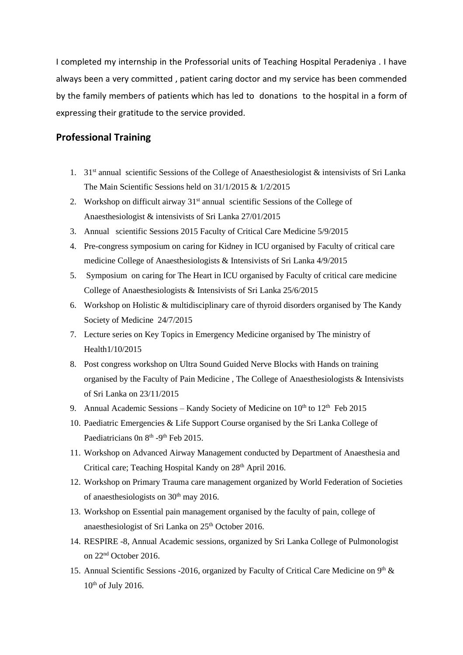I completed my internship in the Professorial units of Teaching Hospital Peradeniya . I have always been a very committed , patient caring doctor and my service has been commended by the family members of patients which has led to donations to the hospital in a form of expressing their gratitude to the service provided.

### **Professional Training**

- 1. 31<sup>st</sup> annual scientific Sessions of the College of Anaesthesiologist & intensivists of Sri Lanka The Main Scientific Sessions held on 31/1/2015 & 1/2/2015
- 2. Workshop on difficult airway  $31<sup>st</sup>$  annual scientific Sessions of the College of Anaesthesiologist & intensivists of Sri Lanka 27/01/2015
- 3. Annual scientific Sessions 2015 Faculty of Critical Care Medicine 5/9/2015
- 4. Pre-congress symposium on caring for Kidney in ICU organised by Faculty of critical care medicine College of Anaesthesiologists & Intensivists of Sri Lanka 4/9/2015
- 5. Symposium on caring for The Heart in ICU organised by Faculty of critical care medicine College of Anaesthesiologists & Intensivists of Sri Lanka 25/6/2015
- 6. Workshop on Holistic & multidisciplinary care of thyroid disorders organised by The Kandy Society of Medicine 24/7/2015
- 7. Lecture series on Key Topics in Emergency Medicine organised by The ministry of Health1/10/2015
- 8. Post congress workshop on Ultra Sound Guided Nerve Blocks with Hands on training organised by the Faculty of Pain Medicine , The College of Anaesthesiologists & Intensivists of Sri Lanka on 23/11/2015
- 9. Annual Academic Sessions Kandy Society of Medicine on 10<sup>th</sup> to 12<sup>th</sup> Feb 2015
- 10. Paediatric Emergencies & Life Support Course organised by the Sri Lanka College of Paediatricians On 8<sup>th</sup> -9<sup>th</sup> Feb 2015.
- 11. Workshop on Advanced Airway Management conducted by Department of Anaesthesia and Critical care; Teaching Hospital Kandy on 28<sup>th</sup> April 2016.
- 12. Workshop on Primary Trauma care management organized by World Federation of Societies of anaesthesiologists on  $30<sup>th</sup>$  may 2016.
- 13. Workshop on Essential pain management organised by the faculty of pain, college of anaesthesiologist of Sri Lanka on  $25<sup>th</sup>$  October 2016.
- 14. RESPIRE -8, Annual Academic sessions, organized by Sri Lanka College of Pulmonologist on 22nd October 2016.
- 15. Annual Scientific Sessions -2016, organized by Faculty of Critical Care Medicine on 9<sup>th</sup> &  $10^{th}$  of July 2016.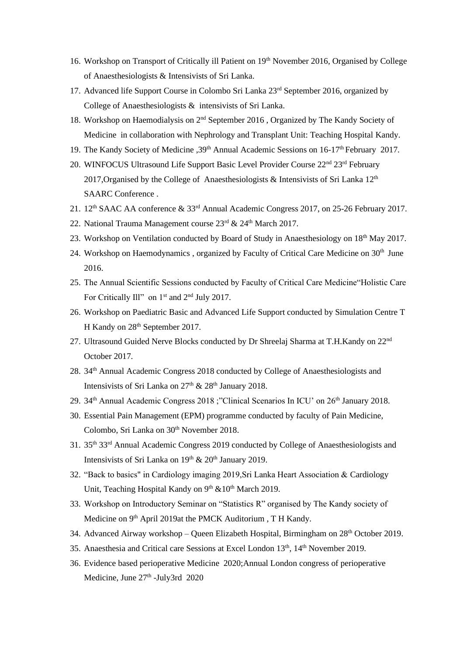- 16. Workshop on Transport of Critically ill Patient on 19<sup>th</sup> November 2016, Organised by College of Anaesthesiologists & Intensivists of Sri Lanka.
- 17. Advanced life Support Course in Colombo Sri Lanka 23<sup>rd</sup> September 2016, organized by College of Anaesthesiologists & intensivists of Sri Lanka.
- 18. Workshop on Haemodialysis on 2<sup>nd</sup> September 2016, Organized by The Kandy Society of Medicine in collaboration with Nephrology and Transplant Unit: Teaching Hospital Kandy.
- 19. The Kandy Society of Medicine , 39<sup>th</sup> Annual Academic Sessions on 16-17<sup>th</sup> February 2017.
- 20. WINFOCUS Ultrasound Life Support Basic Level Provider Course 22<sup>nd</sup> 23<sup>rd</sup> February 2017,Organised by the College of Anaesthesiologists & Intensivists of Sri Lanka 12th SAARC Conference .
- 21. 12th SAAC AA conference & 33rd Annual Academic Congress 2017, on 25-26 February 2017.
- 22. National Trauma Management course 23rd & 24<sup>th</sup> March 2017.
- 23. Workshop on Ventilation conducted by Board of Study in Anaesthesiology on 18<sup>th</sup> May 2017.
- 24. Workshop on Haemodynamics, organized by Faculty of Critical Care Medicine on 30<sup>th</sup> June 2016.
- 25. The Annual Scientific Sessions conducted by Faculty of Critical Care Medicine"Holistic Care For Critically Ill" on 1<sup>st</sup> and 2<sup>nd</sup> July 2017.
- 26. Workshop on Paediatric Basic and Advanced Life Support conducted by Simulation Centre T H Kandy on  $28<sup>th</sup>$  September 2017.
- 27. Ultrasound Guided Nerve Blocks conducted by Dr Shreelaj Sharma at T.H.Kandy on 22nd October 2017.
- 28. 34th Annual Academic Congress 2018 conducted by College of Anaesthesiologists and Intensivists of Sri Lanka on  $27<sup>th</sup>$  &  $28<sup>th</sup>$  January 2018.
- 29. 34<sup>th</sup> Annual Academic Congress 2018 ; "Clinical Scenarios In ICU' on 26<sup>th</sup> January 2018.
- 30. Essential Pain Management (EPM) programme conducted by faculty of Pain Medicine, Colombo, Sri Lanka on 30<sup>th</sup> November 2018.
- 31. 35th 33rd Annual Academic Congress 2019 conducted by College of Anaesthesiologists and Intensivists of Sri Lanka on  $19<sup>th</sup>$  &  $20<sup>th</sup>$  January 2019.
- 32. "Back to basics" in Cardiology imaging 2019,Sri Lanka Heart Association & Cardiology Unit, Teaching Hospital Kandy on 9<sup>th</sup> &10<sup>th</sup> March 2019.
- 33. Workshop on Introductory Seminar on "Statistics R" organised by The Kandy society of Medicine on 9<sup>th</sup> April 2019at the PMCK Auditorium, T H Kandy.
- 34. Advanced Airway workshop Queen Elizabeth Hospital, Birmingham on 28<sup>th</sup> October 2019.
- 35. Anaesthesia and Critical care Sessions at Excel London 13<sup>th</sup>, 14<sup>th</sup> November 2019.
- 36. Evidence based perioperative Medicine 2020;Annual London congress of perioperative Medicine, June 27<sup>th</sup> -July3rd 2020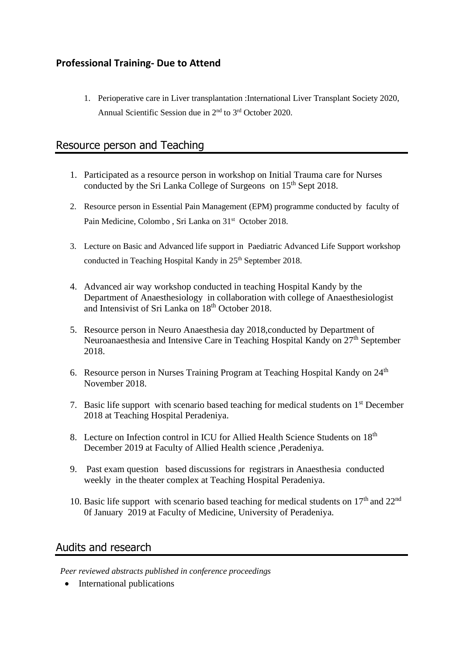# **Professional Training- Due to Attend**

1. Perioperative care in Liver transplantation :International Liver Transplant Society 2020, Annual Scientific Session due in 2nd to 3rd October 2020.

# Resource person and Teaching

- 1. Participated as a resource person in workshop on Initial Trauma care for Nurses conducted by the Sri Lanka College of Surgeons on 15<sup>th</sup> Sept 2018.
- 2. Resource person in Essential Pain Management (EPM) programme conducted by faculty of Pain Medicine, Colombo, Sri Lanka on 31<sup>st</sup> October 2018.
- 3. Lecture on Basic and Advanced life support in Paediatric Advanced Life Support workshop conducted in Teaching Hospital Kandy in  $25<sup>th</sup>$  September 2018.
- 4. Advanced air way workshop conducted in teaching Hospital Kandy by the Department of Anaesthesiology in collaboration with college of Anaesthesiologist and Intensivist of Sri Lanka on 18<sup>th</sup> October 2018.
- 5. Resource person in Neuro Anaesthesia day 2018,conducted by Department of Neuroanaesthesia and Intensive Care in Teaching Hospital Kandy on 27<sup>th</sup> September 2018.
- 6. Resource person in Nurses Training Program at Teaching Hospital Kandy on  $24<sup>th</sup>$ November 2018.
- 7. Basic life support with scenario based teaching for medical students on 1st December 2018 at Teaching Hospital Peradeniya.
- 8. Lecture on Infection control in ICU for Allied Health Science Students on 18th December 2019 at Faculty of Allied Health science ,Peradeniya.
- 9. Past exam question based discussions for registrars in Anaesthesia conducted weekly in the theater complex at Teaching Hospital Peradeniya.
- 10. Basic life support with scenario based teaching for medical students on  $17<sup>th</sup>$  and  $22<sup>nd</sup>$ 0f January 2019 at Faculty of Medicine, University of Peradeniya.

## Audits and research

*Peer reviewed abstracts published in conference proceedings*

• International publications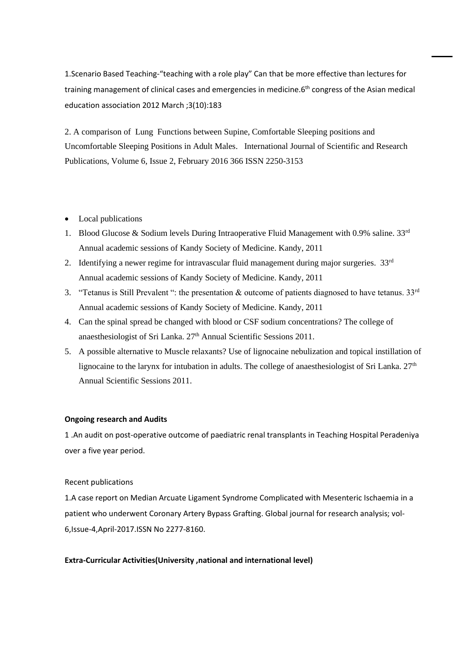1.Scenario Based Teaching-"teaching with a role play" Can that be more effective than lectures for training management of clinical cases and emergencies in medicine.6<sup>th</sup> congress of the Asian medical education association 2012 March ;3(10):183

2. A comparison of Lung Functions between Supine, Comfortable Sleeping positions and Uncomfortable Sleeping Positions in Adult Males. International Journal of Scientific and Research Publications, Volume 6, Issue 2, February 2016 366 ISSN 2250-3153

- Local publications
- 1. Blood Glucose & Sodium levels During Intraoperative Fluid Management with 0.9% saline.  $33<sup>rd</sup>$ Annual academic sessions of Kandy Society of Medicine. Kandy, 2011
- 2. Identifying a newer regime for intravascular fluid management during major surgeries.  $33<sup>rd</sup>$ Annual academic sessions of Kandy Society of Medicine. Kandy, 2011
- 3. "Tetanus is Still Prevalent": the presentation & outcome of patients diagnosed to have tetanus.  $33<sup>rd</sup>$ Annual academic sessions of Kandy Society of Medicine. Kandy, 2011
- 4. Can the spinal spread be changed with blood or CSF sodium concentrations? The college of anaesthesiologist of Sri Lanka. 27<sup>th</sup> Annual Scientific Sessions 2011.
- 5. A possible alternative to Muscle relaxants? Use of lignocaine nebulization and topical instillation of lignocaine to the larynx for intubation in adults. The college of anaesthesiologist of Sri Lanka. 27<sup>th</sup> Annual Scientific Sessions 2011.

### **Ongoing research and Audits**

1 .An audit on post-operative outcome of paediatric renal transplants in Teaching Hospital Peradeniya over a five year period.

### Recent publications

1.A case report on Median Arcuate Ligament Syndrome Complicated with Mesenteric Ischaemia in a patient who underwent Coronary Artery Bypass Grafting. Global journal for research analysis; vol-6,Issue-4,April-2017.ISSN No 2277-8160.

### **Extra-Curricular Activities(University ,national and international level)**